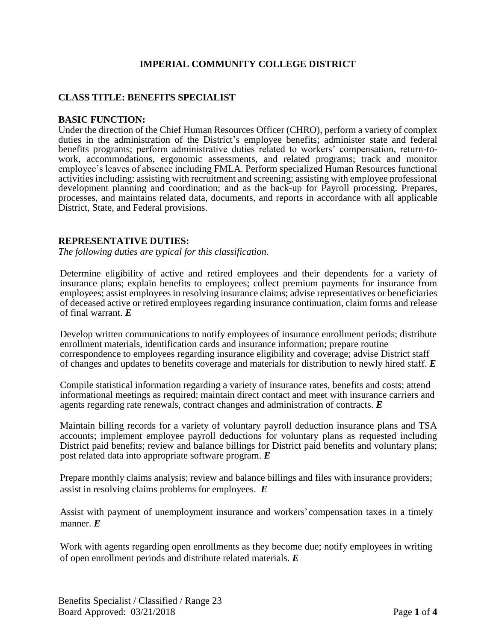# **IMPERIAL COMMUNITY COLLEGE DISTRICT**

### **CLASS TITLE: BENEFITS SPECIALIST**

#### **BASIC FUNCTION:**

Under the direction of the Chief Human Resources Officer (CHRO), perform a variety of complex duties in the administration of the District's employee benefits; administer state and federal benefits programs; perform administrative duties related to workers' compensation, return-towork, accommodations, ergonomic assessments, and related programs; track and monitor employee's leaves of absence including FMLA. Perform specialized Human Resources functional activities including: assisting with recruitment and screening; assisting with employee professional development planning and coordination; and as the back-up for Payroll processing. Prepares, processes, and maintains related data, documents, and reports in accordance with all applicable District, State, and Federal provisions.

#### **REPRESENTATIVE DUTIES:**

*The following duties are typical for this classification.*

Determine eligibility of active and retired employees and their dependents for a variety of insurance plans; explain benefits to employees; collect premium payments for insurance from employees; assist employees in resolving insurance claims; advise representatives or beneficiaries of deceased active or retired employees regarding insurance continuation, claim forms and release of final warrant. *E*

Develop written communications to notify employees of insurance enrollment periods; distribute enrollment materials, identification cards and insurance information; prepare routine correspondence to employees regarding insurance eligibility and coverage; advise District staff of changes and updates to benefits coverage and materials for distribution to newly hired staff. *E*

Compile statistical information regarding a variety of insurance rates, benefits and costs; attend informational meetings as required; maintain direct contact and meet with insurance carriers and agents regarding rate renewals, contract changes and administration of contracts. *E*

Maintain billing records for a variety of voluntary payroll deduction insurance plans and TSA accounts; implement employee payroll deductions for voluntary plans as requested including District paid benefits; review and balance billings for District paid benefits and voluntary plans; post related data into appropriate software program. *E*

Prepare monthly claims analysis; review and balance billings and files with insurance providers; assist in resolving claims problems for employees. *E*

Assist with payment of unemployment insurance and workers' compensation taxes in a timely manner. *E*

Work with agents regarding open enrollments as they become due; notify employees in writing of open enrollment periods and distribute related materials. *E*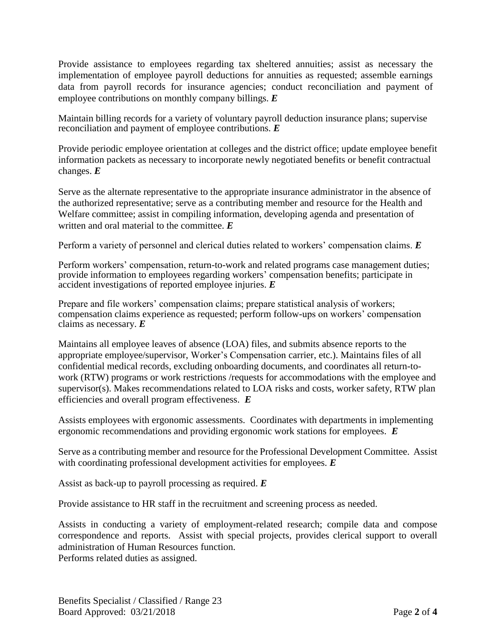Provide assistance to employees regarding tax sheltered annuities; assist as necessary the implementation of employee payroll deductions for annuities as requested; assemble earnings data from payroll records for insurance agencies; conduct reconciliation and payment of employee contributions on monthly company billings. *E*

Maintain billing records for a variety of voluntary payroll deduction insurance plans; supervise reconciliation and payment of employee contributions. *E*

Provide periodic employee orientation at colleges and the district office; update employee benefit information packets as necessary to incorporate newly negotiated benefits or benefit contractual changes. *E*

Serve as the alternate representative to the appropriate insurance administrator in the absence of the authorized representative; serve as a contributing member and resource for the Health and Welfare committee; assist in compiling information, developing agenda and presentation of written and oral material to the committee. *E*

Perform a variety of personnel and clerical duties related to workers' compensation claims. *E*

Perform workers' compensation, return-to-work and related programs case management duties; provide information to employees regarding workers' compensation benefits; participate in accident investigations of reported employee injuries. *E*

Prepare and file workers' compensation claims; prepare statistical analysis of workers; compensation claims experience as requested; perform follow-ups on workers' compensation claims as necessary. *E*

Maintains all employee leaves of absence (LOA) files, and submits absence reports to the appropriate employee/supervisor, Worker's Compensation carrier, etc.). Maintains files of all confidential medical records, excluding onboarding documents, and coordinates all return-towork (RTW) programs or work restrictions /requests for accommodations with the employee and supervisor(s). Makes recommendations related to LOA risks and costs, worker safety, RTW plan efficiencies and overall program effectiveness. *E*

Assists employees with ergonomic assessments. Coordinates with departments in implementing ergonomic recommendations and providing ergonomic work stations for employees. *E*

Serve as a contributing member and resource for the Professional Development Committee. Assist with coordinating professional development activities for employees. *E*

Assist as back-up to payroll processing as required. *E*

Provide assistance to HR staff in the recruitment and screening process as needed.

Assists in conducting a variety of employment-related research; compile data and compose correspondence and reports. Assist with special projects, provides clerical support to overall administration of Human Resources function. Performs related duties as assigned.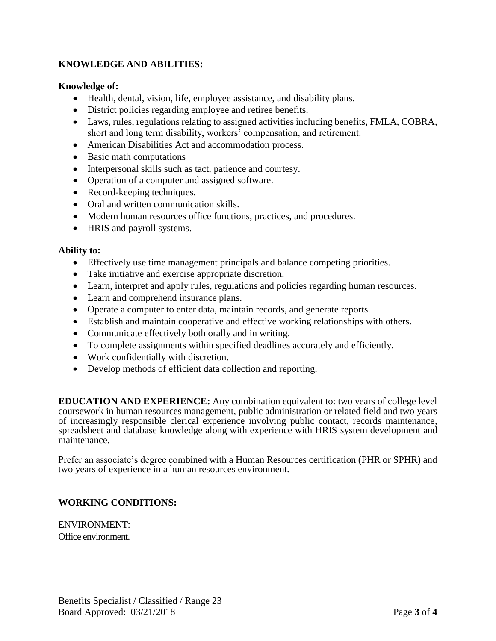# **KNOWLEDGE AND ABILITIES:**

## **Knowledge of:**

- Health, dental, vision, life, employee assistance, and disability plans.
- District policies regarding employee and retiree benefits.
- Laws, rules, regulations relating to assigned activities including benefits, FMLA, COBRA, short and long term disability, workers' compensation, and retirement.
- American Disabilities Act and accommodation process.
- Basic math computations
- Interpersonal skills such as tact, patience and courtesy.
- Operation of a computer and assigned software.
- Record-keeping techniques.
- Oral and written communication skills.
- Modern human resources office functions, practices, and procedures.
- HRIS and payroll systems.

### **Ability to:**

- Effectively use time management principals and balance competing priorities.
- Take initiative and exercise appropriate discretion.
- Learn, interpret and apply rules, regulations and policies regarding human resources.
- Learn and comprehend insurance plans.
- Operate a computer to enter data, maintain records, and generate reports.
- Establish and maintain cooperative and effective working relationships with others.
- Communicate effectively both orally and in writing.
- To complete assignments within specified deadlines accurately and efficiently.
- Work confidentially with discretion.
- Develop methods of efficient data collection and reporting.

**EDUCATION AND EXPERIENCE:** Any combination equivalent to: two years of college level coursework in human resources management, public administration or related field and two years of increasingly responsible clerical experience involving public contact, records maintenance, spreadsheet and database knowledge along with experience with HRIS system development and maintenance.

Prefer an associate's degree combined with a Human Resources certification (PHR or SPHR) and two years of experience in a human resources environment.

# **WORKING CONDITIONS:**

ENVIRONMENT: Office environment.